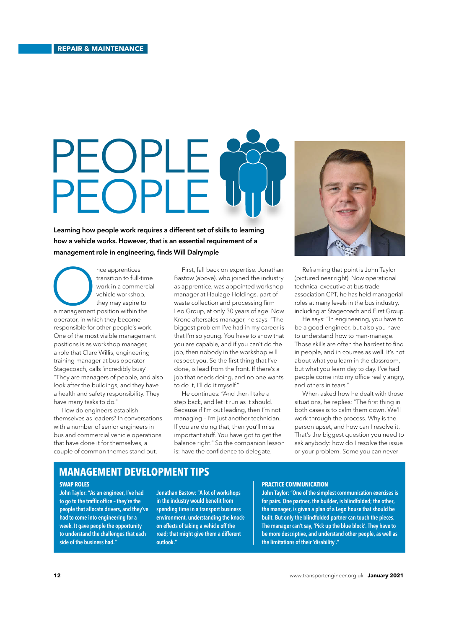# PEOPLE PEOPLE

Learning how people work requires a different set of skills to learning how a vehicle works. However, that is an essential requirement of a management role in engineering, finds Will Dalrymple

nce apprentices<br>
transition to full-tim<br>
work in a commerc<br>
vehicle workshop,<br>
they may aspire to<br>
a management position within the transition to full-time work in a commercial vehicle workshop, they may aspire to operator, in which they become responsible for other people's work. One of the most visible management positions is as workshop manager, a role that Clare Willis, engineering training manager at bus operator Stagecoach, calls 'incredibly busy'. "They are managers of people, and also look after the buildings, and they have a health and safety responsibility. They have many tasks to do."

How do engineers establish themselves as leaders? In conversations with a number of senior engineers in bus and commercial vehicle operations that have done it for themselves, a couple of common themes stand out.

First, fall back on expertise. Jonathan Bastow (above), who joined the industry as apprentice, was appointed workshop manager at Haulage Holdings, part of waste collection and processing firm Leo Group, at only 30 years of age. Now Krone aftersales manager, he says: "The biggest problem I've had in my career is that I'm so young. You have to show that you are capable, and if you can't do the job, then nobody in the workshop will respect you. So the first thing that I've done, is lead from the front. If there's a job that needs doing, and no one wants to do it, I'll do it myself."

He continues: "And then I take a step back, and let it run as it should. Because if I'm out leading, then I'm not managing – I'm just another technician. If you are doing that, then you'll miss important stuff. You have got to get the balance right." So the companion lesson is: have the confidence to delegate.



Reframing that point is John Taylor (pictured near right). Now operational technical executive at bus trade association CPT, he has held managerial roles at many levels in the bus industry, including at Stagecoach and First Group.

He says: "In engineering, you have to be a good engineer, but also you have to understand how to man-manage. Those skills are often the hardest to find in people, and in courses as well. It's not about what you learn in the classroom, but what you learn day to day. I've had people come into my office really angry, and others in tears."

When asked how he dealt with those situations, he replies: "The first thing in both cases is to calm them down. We'll work through the process. Why is the person upset, and how can I resolve it. That's the biggest question you need to ask anybody: how do I resolve the issue or your problem. Some you can never

# **MANAGEMENT DEVELOPMENT TIPS**

## **SWAP ROLES**

John Taylor: "As an engineer, I've had to go to the traffic office - they're the people that allocate drivers, and they've had to come into engineering for a week. It gave people the opportunity to understand the challenges that each side of the business had."

Jonathan Bastow: "A lot of workshops in the industry would benefit from spending time in a transport business environment, understanding the knockon effects of taking a vehicle off the road; that might give them a different outlook."

### **PRACTICE COMMUNICATION**

John Taylor: "One of the simplest communication exercises is for pairs. One partner, the builder, is blindfolded; the other, the manager, is given a plan of a Lego house that should be built. But only the blindfolded partner can touch the pieces. The manager can't say, 'Pick up the blue block'. They have to be more descriptive, and understand other people, as well as the limitations of their 'disability'."